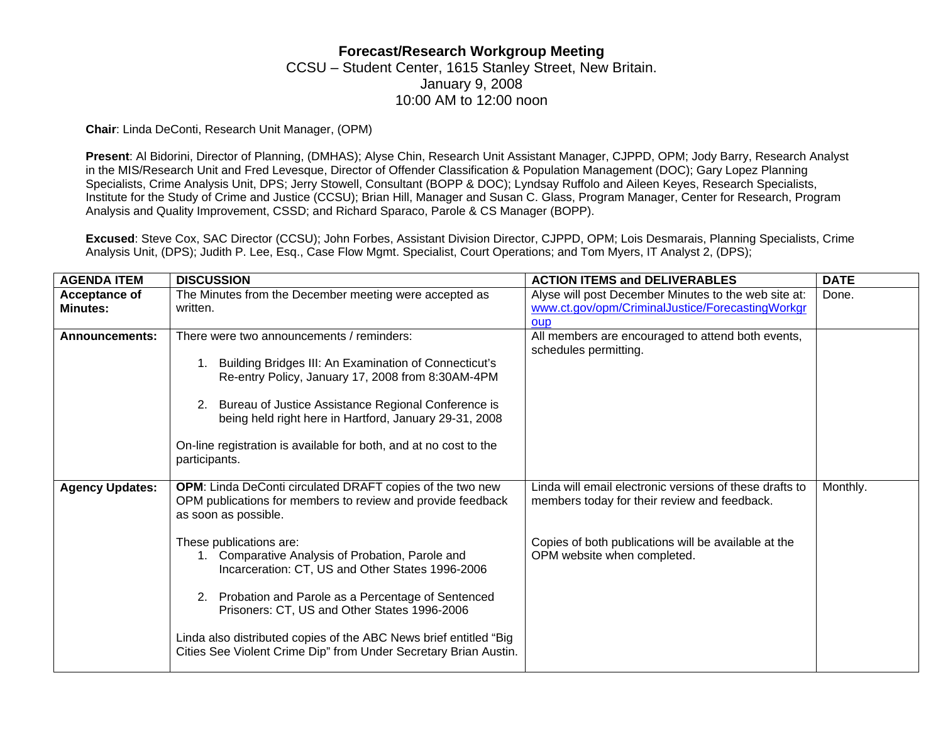## **Forecast/Research Workgroup Meeting**  CCSU – Student Center, 1615 Stanley Street, New Britain. January 9, 2008 10:00 AM to 12:00 noon

**Chair**: Linda DeConti, Research Unit Manager, (OPM)

**Present**: Al Bidorini, Director of Planning, (DMHAS); Alyse Chin, Research Unit Assistant Manager, CJPPD, OPM; Jody Barry, Research Analyst in the MIS/Research Unit and Fred Levesque, Director of Offender Classification & Population Management (DOC); Gary Lopez Planning Specialists, Crime Analysis Unit, DPS; Jerry Stowell, Consultant (BOPP & DOC); Lyndsay Ruffolo and Aileen Keyes, Research Specialists, Institute for the Study of Crime and Justice (CCSU); Brian Hill, Manager and Susan C. Glass, Program Manager, Center for Research, Program Analysis and Quality Improvement, CSSD; and Richard Sparaco, Parole & CS Manager (BOPP).

**Excused**: Steve Cox, SAC Director (CCSU); John Forbes, Assistant Division Director, CJPPD, OPM; Lois Desmarais, Planning Specialists, Crime Analysis Unit, (DPS); Judith P. Lee, Esq., Case Flow Mgmt. Specialist, Court Operations; and Tom Myers, IT Analyst 2, (DPS);

| <b>AGENDA ITEM</b>                      | <b>DISCUSSION</b>                                                                                                                                             | <b>ACTION ITEMS and DELIVERABLES</b>                                                                     | <b>DATE</b> |
|-----------------------------------------|---------------------------------------------------------------------------------------------------------------------------------------------------------------|----------------------------------------------------------------------------------------------------------|-------------|
| <b>Acceptance of</b><br><b>Minutes:</b> | The Minutes from the December meeting were accepted as<br>written.                                                                                            | Alyse will post December Minutes to the web site at:<br>www.ct.gov/opm/CriminalJustice/ForecastingWorkgr | Done.       |
|                                         |                                                                                                                                                               | <b>OUD</b>                                                                                               |             |
| <b>Announcements:</b>                   | There were two announcements / reminders:<br>Building Bridges III: An Examination of Connecticut's<br>1.<br>Re-entry Policy, January 17, 2008 from 8:30AM-4PM | All members are encouraged to attend both events,<br>schedules permitting.                               |             |
|                                         | 2. Bureau of Justice Assistance Regional Conference is<br>being held right here in Hartford, January 29-31, 2008                                              |                                                                                                          |             |
|                                         | On-line registration is available for both, and at no cost to the<br>participants.                                                                            |                                                                                                          |             |
| <b>Agency Updates:</b>                  | <b>OPM:</b> Linda DeConti circulated DRAFT copies of the two new<br>OPM publications for members to review and provide feedback<br>as soon as possible.       | Linda will email electronic versions of these drafts to<br>members today for their review and feedback.  | Monthly.    |
|                                         | These publications are:<br>1. Comparative Analysis of Probation, Parole and<br>Incarceration: CT, US and Other States 1996-2006                               | Copies of both publications will be available at the<br>OPM website when completed.                      |             |
|                                         | Probation and Parole as a Percentage of Sentenced<br>2.<br>Prisoners: CT, US and Other States 1996-2006                                                       |                                                                                                          |             |
|                                         | Linda also distributed copies of the ABC News brief entitled "Big<br>Cities See Violent Crime Dip" from Under Secretary Brian Austin.                         |                                                                                                          |             |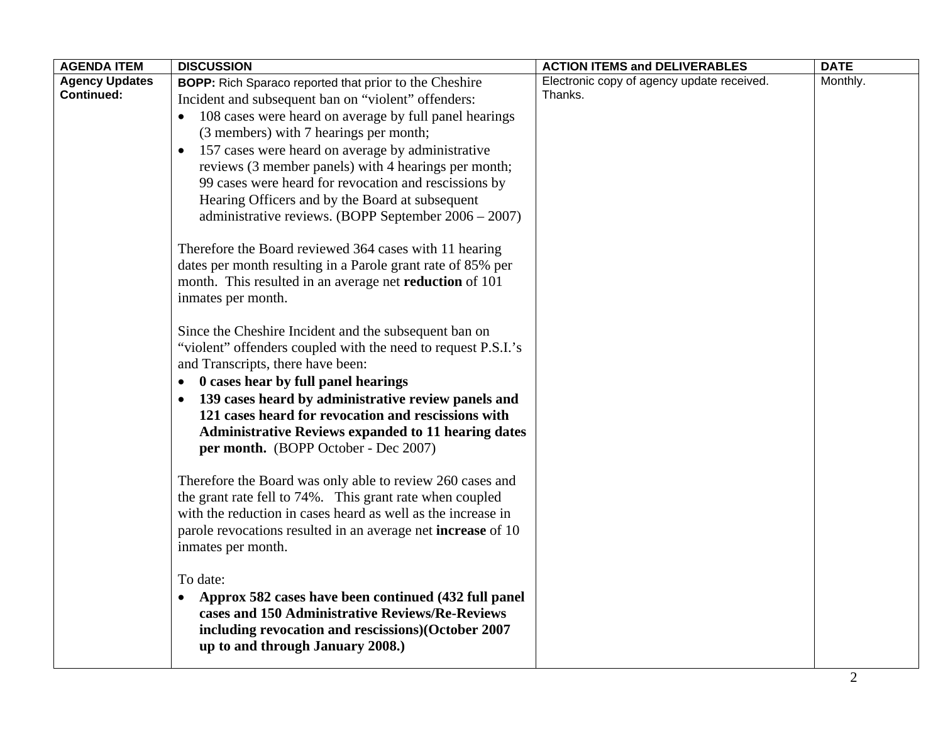| <b>Agency Updates</b><br>Electronic copy of agency update received.<br>Monthly.<br><b>BOPP:</b> Rich Sparaco reported that prior to the Cheshire<br><b>Continued:</b><br>Thanks.<br>Incident and subsequent ban on "violent" offenders:                                                                                                                                                                                                                                                                                                                                                                                                                                                                                                                                                                                                                                                                                                                                                                                                                                                                                                                                                                                                                                                                                                                                                                                                                                                                                                          |  |
|--------------------------------------------------------------------------------------------------------------------------------------------------------------------------------------------------------------------------------------------------------------------------------------------------------------------------------------------------------------------------------------------------------------------------------------------------------------------------------------------------------------------------------------------------------------------------------------------------------------------------------------------------------------------------------------------------------------------------------------------------------------------------------------------------------------------------------------------------------------------------------------------------------------------------------------------------------------------------------------------------------------------------------------------------------------------------------------------------------------------------------------------------------------------------------------------------------------------------------------------------------------------------------------------------------------------------------------------------------------------------------------------------------------------------------------------------------------------------------------------------------------------------------------------------|--|
| 108 cases were heard on average by full panel hearings<br>(3 members) with 7 hearings per month;<br>157 cases were heard on average by administrative<br>reviews (3 member panels) with 4 hearings per month;<br>99 cases were heard for revocation and rescissions by<br>Hearing Officers and by the Board at subsequent<br>administrative reviews. (BOPP September 2006 - 2007)<br>Therefore the Board reviewed 364 cases with 11 hearing<br>dates per month resulting in a Parole grant rate of 85% per<br>month. This resulted in an average net <b>reduction</b> of 101<br>inmates per month.<br>Since the Cheshire Incident and the subsequent ban on<br>"violent" offenders coupled with the need to request P.S.I.'s<br>and Transcripts, there have been:<br>0 cases hear by full panel hearings<br>139 cases heard by administrative review panels and<br>$\bullet$<br>121 cases heard for revocation and rescissions with<br><b>Administrative Reviews expanded to 11 hearing dates</b><br>per month. (BOPP October - Dec 2007)<br>Therefore the Board was only able to review 260 cases and<br>the grant rate fell to 74%. This grant rate when coupled<br>with the reduction in cases heard as well as the increase in<br>parole revocations resulted in an average net <b>increase</b> of 10<br>inmates per month.<br>To date:<br>Approx 582 cases have been continued (432 full panel<br>cases and 150 Administrative Reviews/Re-Reviews<br>including revocation and rescissions)(October 2007<br>up to and through January 2008.) |  |
|                                                                                                                                                                                                                                                                                                                                                                                                                                                                                                                                                                                                                                                                                                                                                                                                                                                                                                                                                                                                                                                                                                                                                                                                                                                                                                                                                                                                                                                                                                                                                  |  |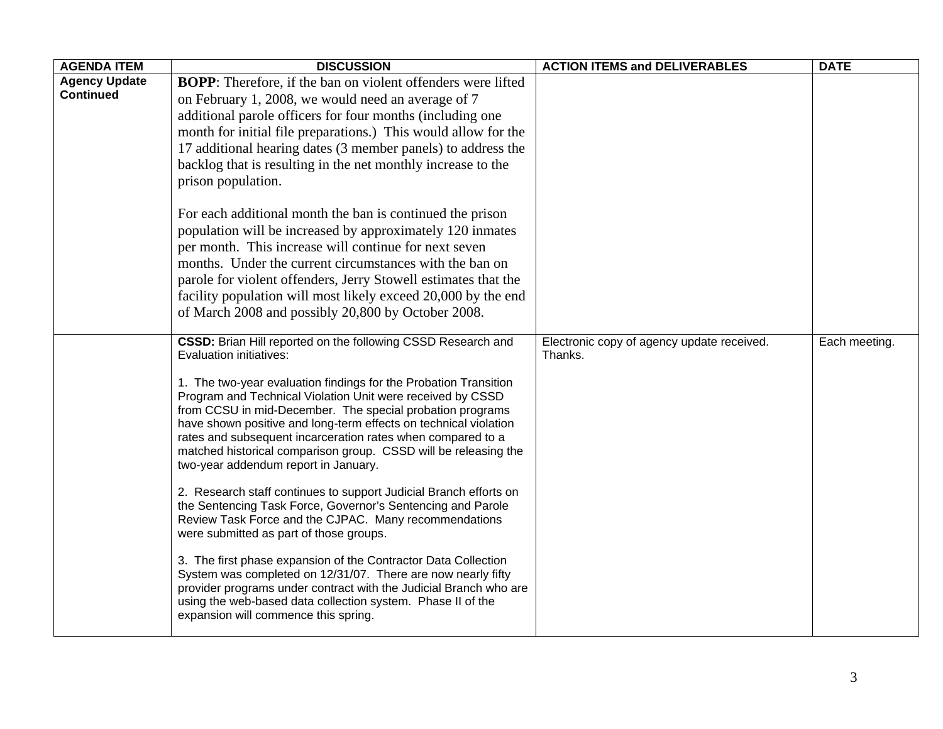| <b>AGENDA ITEM</b>   | <b>DISCUSSION</b>                                                                                                                                                                                                                                                                                                                                                                                                                                                                                              | <b>ACTION ITEMS and DELIVERABLES</b>       | <b>DATE</b>   |
|----------------------|----------------------------------------------------------------------------------------------------------------------------------------------------------------------------------------------------------------------------------------------------------------------------------------------------------------------------------------------------------------------------------------------------------------------------------------------------------------------------------------------------------------|--------------------------------------------|---------------|
| <b>Agency Update</b> | <b>BOPP</b> : Therefore, if the ban on violent offenders were lifted                                                                                                                                                                                                                                                                                                                                                                                                                                           |                                            |               |
| <b>Continued</b>     | on February 1, 2008, we would need an average of 7                                                                                                                                                                                                                                                                                                                                                                                                                                                             |                                            |               |
|                      | additional parole officers for four months (including one                                                                                                                                                                                                                                                                                                                                                                                                                                                      |                                            |               |
|                      | month for initial file preparations.) This would allow for the                                                                                                                                                                                                                                                                                                                                                                                                                                                 |                                            |               |
|                      | 17 additional hearing dates (3 member panels) to address the                                                                                                                                                                                                                                                                                                                                                                                                                                                   |                                            |               |
|                      | backlog that is resulting in the net monthly increase to the                                                                                                                                                                                                                                                                                                                                                                                                                                                   |                                            |               |
|                      | prison population.                                                                                                                                                                                                                                                                                                                                                                                                                                                                                             |                                            |               |
|                      |                                                                                                                                                                                                                                                                                                                                                                                                                                                                                                                |                                            |               |
|                      | For each additional month the ban is continued the prison                                                                                                                                                                                                                                                                                                                                                                                                                                                      |                                            |               |
|                      | population will be increased by approximately 120 inmates                                                                                                                                                                                                                                                                                                                                                                                                                                                      |                                            |               |
|                      | per month. This increase will continue for next seven                                                                                                                                                                                                                                                                                                                                                                                                                                                          |                                            |               |
|                      | months. Under the current circumstances with the ban on                                                                                                                                                                                                                                                                                                                                                                                                                                                        |                                            |               |
|                      | parole for violent offenders, Jerry Stowell estimates that the                                                                                                                                                                                                                                                                                                                                                                                                                                                 |                                            |               |
|                      | facility population will most likely exceed 20,000 by the end                                                                                                                                                                                                                                                                                                                                                                                                                                                  |                                            |               |
|                      | of March 2008 and possibly 20,800 by October 2008.                                                                                                                                                                                                                                                                                                                                                                                                                                                             |                                            |               |
|                      | CSSD: Brian Hill reported on the following CSSD Research and                                                                                                                                                                                                                                                                                                                                                                                                                                                   | Electronic copy of agency update received. | Each meeting. |
|                      | Evaluation initiatives:                                                                                                                                                                                                                                                                                                                                                                                                                                                                                        | Thanks.                                    |               |
|                      | 1. The two-year evaluation findings for the Probation Transition<br>Program and Technical Violation Unit were received by CSSD<br>from CCSU in mid-December. The special probation programs<br>have shown positive and long-term effects on technical violation<br>rates and subsequent incarceration rates when compared to a<br>matched historical comparison group. CSSD will be releasing the<br>two-year addendum report in January.<br>2. Research staff continues to support Judicial Branch efforts on |                                            |               |
|                      | the Sentencing Task Force, Governor's Sentencing and Parole<br>Review Task Force and the CJPAC. Many recommendations<br>were submitted as part of those groups.                                                                                                                                                                                                                                                                                                                                                |                                            |               |
|                      | 3. The first phase expansion of the Contractor Data Collection<br>System was completed on 12/31/07. There are now nearly fifty<br>provider programs under contract with the Judicial Branch who are<br>using the web-based data collection system. Phase II of the<br>expansion will commence this spring.                                                                                                                                                                                                     |                                            |               |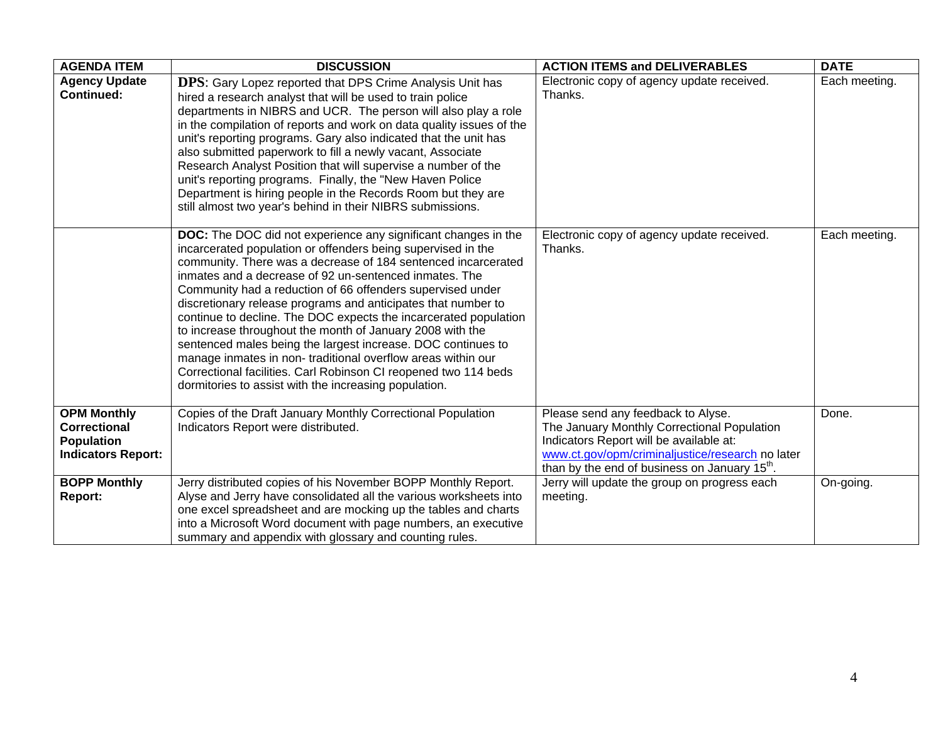| <b>AGENDA ITEM</b>                                                                          | <b>DISCUSSION</b>                                                                                                                                                                                                                                                                                                                                                                                                                                                                                                                                                                                                                                                                                                                                                                           | <b>ACTION ITEMS and DELIVERABLES</b>                                                                                                                                                                                                          | <b>DATE</b>   |
|---------------------------------------------------------------------------------------------|---------------------------------------------------------------------------------------------------------------------------------------------------------------------------------------------------------------------------------------------------------------------------------------------------------------------------------------------------------------------------------------------------------------------------------------------------------------------------------------------------------------------------------------------------------------------------------------------------------------------------------------------------------------------------------------------------------------------------------------------------------------------------------------------|-----------------------------------------------------------------------------------------------------------------------------------------------------------------------------------------------------------------------------------------------|---------------|
| <b>Agency Update</b><br><b>Continued:</b>                                                   | <b>DPS:</b> Gary Lopez reported that DPS Crime Analysis Unit has<br>hired a research analyst that will be used to train police<br>departments in NIBRS and UCR. The person will also play a role<br>in the compilation of reports and work on data quality issues of the<br>unit's reporting programs. Gary also indicated that the unit has<br>also submitted paperwork to fill a newly vacant, Associate<br>Research Analyst Position that will supervise a number of the<br>unit's reporting programs. Finally, the "New Haven Police<br>Department is hiring people in the Records Room but they are<br>still almost two year's behind in their NIBRS submissions.                                                                                                                      | Electronic copy of agency update received.<br>Thanks.                                                                                                                                                                                         | Each meeting. |
|                                                                                             | <b>DOC:</b> The DOC did not experience any significant changes in the<br>incarcerated population or offenders being supervised in the<br>community. There was a decrease of 184 sentenced incarcerated<br>inmates and a decrease of 92 un-sentenced inmates. The<br>Community had a reduction of 66 offenders supervised under<br>discretionary release programs and anticipates that number to<br>continue to decline. The DOC expects the incarcerated population<br>to increase throughout the month of January 2008 with the<br>sentenced males being the largest increase. DOC continues to<br>manage inmates in non-traditional overflow areas within our<br>Correctional facilities. Carl Robinson CI reopened two 114 beds<br>dormitories to assist with the increasing population. | Electronic copy of agency update received.<br>Thanks.                                                                                                                                                                                         | Each meeting. |
| <b>OPM Monthly</b><br><b>Correctional</b><br><b>Population</b><br><b>Indicators Report:</b> | Copies of the Draft January Monthly Correctional Population<br>Indicators Report were distributed.                                                                                                                                                                                                                                                                                                                                                                                                                                                                                                                                                                                                                                                                                          | Please send any feedback to Alyse.<br>The January Monthly Correctional Population<br>Indicators Report will be available at:<br>www.ct.gov/opm/criminaljustice/research no later<br>than by the end of business on January 15 <sup>th</sup> . | Done.         |
| <b>BOPP Monthly</b><br><b>Report:</b>                                                       | Jerry distributed copies of his November BOPP Monthly Report.<br>Alyse and Jerry have consolidated all the various worksheets into<br>one excel spreadsheet and are mocking up the tables and charts<br>into a Microsoft Word document with page numbers, an executive<br>summary and appendix with glossary and counting rules.                                                                                                                                                                                                                                                                                                                                                                                                                                                            | Jerry will update the group on progress each<br>meeting.                                                                                                                                                                                      | On-going.     |